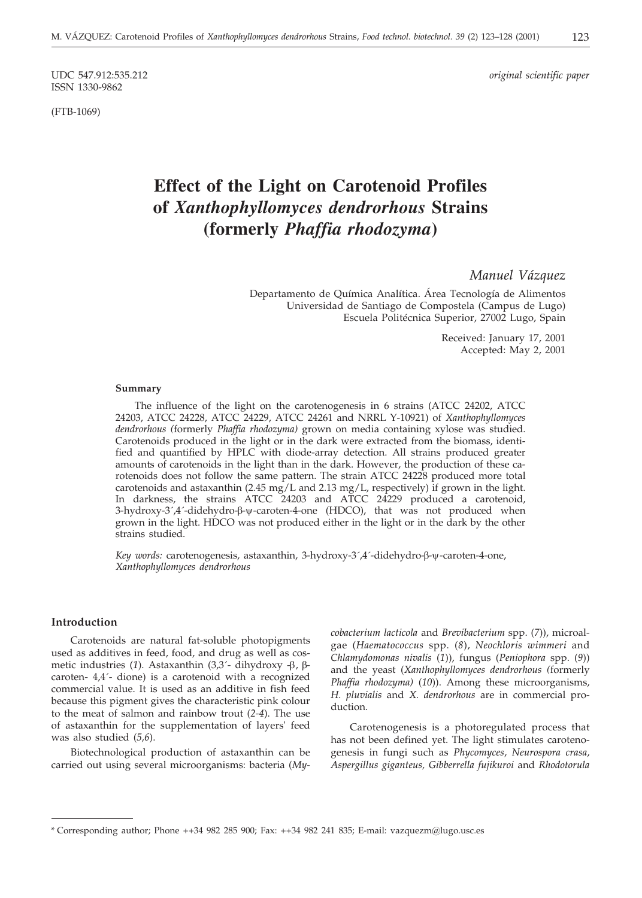ISSN 1330-9862

(FTB-1069)

UDC 547.912:535.212 *original scientific paper*

# **Effect of the Light on Carotenoid Profiles of** *Xanthophyllomyces dendrorhous* **Strains (formerly** *Phaffia rhodozyma***)**

*Manuel Vázquez*

Departamento de Química Analítica. Área Tecnología de Alimentos Universidad de Santiago de Compostela (Campus de Lugo) Escuela Politécnica Superior, 27002 Lugo, Spain

> Received: January 17, 2001 Accepted: May 2, 2001

#### **Summary**

The influence of the light on the carotenogenesis in 6 strains (ATCC 24202, ATCC 24203, ATCC 24228, ATCC 24229, ATCC 24261 and NRRL Y-10921) of *Xanthophyllomyces dendrorhous (*formerly *Phaffia rhodozyma)* grown on media containing xylose was studied. Carotenoids produced in the light or in the dark were extracted from the biomass, identified and quantified by HPLC with diode-array detection. All strains produced greater amounts of carotenoids in the light than in the dark. However, the production of these carotenoids does not follow the same pattern. The strain ATCC 24228 produced more total carotenoids and astaxanthin  $(2.45 \text{ mg/L} \text{ and } 2.13 \text{ mg/L} \text{, respectively})$  if grown in the light. In darkness, the strains ATCC 24203 and ATCC 24229 produced a carotenoid, 3-hydroxy-3´,4´-didehydro-β-ψ-caroten-4-one (HDCO), that was not produced when grown in the light. HDCO was not produced either in the light or in the dark by the other strains studied.

Key words: carotenogenesis, astaxanthin, 3-hydroxy-3´,4´-didehydro-β-ψ-caroten-4-one, *Xanthophyllomyces dendrorhous*

#### **Introduction**

Carotenoids are natural fat-soluble photopigments used as additives in feed, food, and drug as well as cosmetic industries (1). Astaxanthin  $(3,3)$ <sup>-</sup> dihydroxy - $\beta$ ,  $\beta$ caroten- 4,4´- dione) is a carotenoid with a recognized commercial value. It is used as an additive in fish feed because this pigment gives the characteristic pink colour to the meat of salmon and rainbow trout (*2-4*). The use of astaxanthin for the supplementation of layers' feed was also studied (*5,6*).

Biotechnological production of astaxanthin can be carried out using several microorganisms: bacteria (*My-* *cobacterium lacticola* and *Brevibacterium* spp. (*7*)), microalgae (*Haematococcus* spp. (*8*), *Neochloris wimmeri* and *Chlamydomonas nivalis* (*1*)), fungus (*Peniophora* spp. (*9*)) and the yeast (*Xanthophyllomyces dendrorhous (*formerly *Phaffia rhodozyma)* (*10*)). Among these microorganisms, *H. pluvialis* and *X. dendrorhous* are in commercial production.

Carotenogenesis is a photoregulated process that has not been defined yet. The light stimulates carotenogenesis in fungi such as *Phycomyces*, *Neurospora crasa*, *Aspergillus giganteus, Gibberrella fujikuroi* and *Rhodotorula*

<sup>\*</sup> Corresponding author; Phone ++34 982 285 900; Fax: ++34 982 241 835; E-mail: vazquezm@lugo.usc.es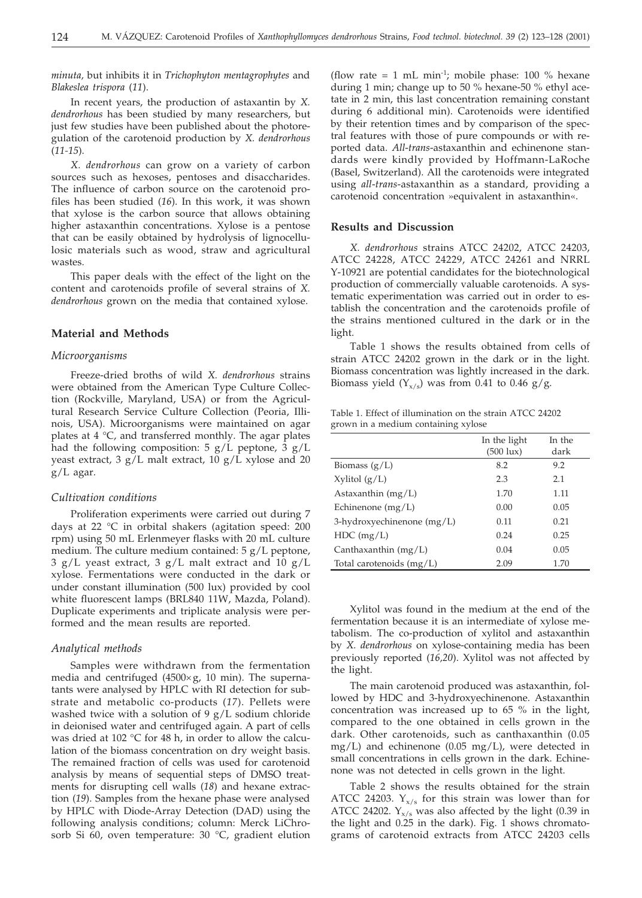*minuta,* but inhibits it in *Trichophyton mentagrophytes* and *Blakeslea trispora* (*11*).

In recent years, the production of astaxantin by *X. dendrorhous* has been studied by many researchers, but just few studies have been published about the photoregulation of the carotenoid production by *X. dendrorhous* (*11-15*).

*X. dendrorhous* can grow on a variety of carbon sources such as hexoses, pentoses and disaccharides. The influence of carbon source on the carotenoid profiles has been studied (*16*). In this work, it was shown that xylose is the carbon source that allows obtaining higher astaxanthin concentrations. Xylose is a pentose that can be easily obtained by hydrolysis of lignocellulosic materials such as wood, straw and agricultural wastes.

This paper deals with the effect of the light on the content and carotenoids profile of several strains of *X. dendrorhous* grown on the media that contained xylose.

#### **Material and Methods**

# *Microorganisms*

Freeze-dried broths of wild *X. dendrorhous* strains were obtained from the American Type Culture Collection (Rockville, Maryland, USA) or from the Agricultural Research Service Culture Collection (Peoria, Illinois, USA). Microorganisms were maintained on agar plates at 4 °C, and transferred monthly. The agar plates had the following composition: 5  $g/L$  peptone, 3  $g/L$ yeast extract,  $3 g/L$  malt extract,  $10 g/L$  xylose and  $20$ g/L agar.

#### *Cultivation conditions*

Proliferation experiments were carried out during 7 days at 22 °C in orbital shakers (agitation speed: 200 rpm) using 50 mL Erlenmeyer flasks with 20 mL culture medium. The culture medium contained: 5 g/L peptone, 3  $g/L$  yeast extract, 3  $g/L$  malt extract and 10  $g/L$ xylose. Fermentations were conducted in the dark or under constant illumination (500 lux) provided by cool white fluorescent lamps (BRL840 11W, Mazda, Poland). Duplicate experiments and triplicate analysis were performed and the mean results are reported.

#### *Analytical methods*

Samples were withdrawn from the fermentation media and centrifuged (4500 $\times$ g, 10 min). The supernatants were analysed by HPLC with RI detection for substrate and metabolic co-products (*17*). Pellets were washed twice with a solution of 9  $g/L$  sodium chloride in deionised water and centrifuged again. A part of cells was dried at 102 °C for 48 h, in order to allow the calculation of the biomass concentration on dry weight basis. The remained fraction of cells was used for carotenoid analysis by means of sequential steps of DMSO treatments for disrupting cell walls (*18*) and hexane extraction (*19*). Samples from the hexane phase were analysed by HPLC with Diode-Array Detection (DAD) using the following analysis conditions; column: Merck LiChrosorb Si 60, oven temperature: 30 °C, gradient elution

(flow rate = 1 mL min<sup>-1</sup>; mobile phase: 100  $%$  hexane during 1 min; change up to 50 % hexane-50 % ethyl acetate in 2 min, this last concentration remaining constant during 6 additional min). Carotenoids were identified by their retention times and by comparison of the spectral features with those of pure compounds or with reported data. *All*-*trans*-astaxanthin and echinenone standards were kindly provided by Hoffmann-LaRoche (Basel, Switzerland). All the carotenoids were integrated using *all*-*trans*-astaxanthin as a standard, providing a carotenoid concentration »equivalent in astaxanthin«.

#### **Results and Discussion**

*X. dendrorhous* strains ATCC 24202, ATCC 24203, ATCC 24228, ATCC 24229, ATCC 24261 and NRRL Y-10921 are potential candidates for the biotechnological production of commercially valuable carotenoids. A systematic experimentation was carried out in order to establish the concentration and the carotenoids profile of the strains mentioned cultured in the dark or in the light.

Table 1 shows the results obtained from cells of strain ATCC 24202 grown in the dark or in the light. Biomass concentration was lightly increased in the dark. Biomass yield  $(Y_{x/s})$  was from 0.41 to 0.46 g/g.

| Table 1. Effect of illumination on the strain ATCC 24202 |  |
|----------------------------------------------------------|--|
| grown in a medium containing xylose                      |  |

|                              | In the light<br>$(500 \text{lux})$ | In the<br>dark |
|------------------------------|------------------------------------|----------------|
| Biomass $(g/L)$              | 8.2                                | 9.2            |
| $X$ ylitol $(g/L)$           | 2.3                                | 2.1            |
| Astaxanthin $(mg/L)$         | 1.70                               | 1.11           |
| Echinenone $(mg/L)$          | 0.00                               | 0.05           |
| 3-hydroxyechinenone $(mg/L)$ | 0.11                               | 0.21           |
| $HDC$ (mg/L)                 | 0.24                               | 0.25           |
| Canthaxanthin $(mg/L)$       | 0.04                               | 0.05           |
| Total carotenoids $(mg/L)$   | 2.09                               | 1.70           |

Xylitol was found in the medium at the end of the fermentation because it is an intermediate of xylose metabolism. The co-production of xylitol and astaxanthin by *X. dendrorhous* on xylose-containing media has been previously reported (*16,20*). Xylitol was not affected by the light.

The main carotenoid produced was astaxanthin, followed by HDC and 3-hydroxyechinenone. Astaxanthin concentration was increased up to 65 % in the light, compared to the one obtained in cells grown in the dark. Other carotenoids, such as canthaxanthin (0.05  $mg/L$ ) and echinenone (0.05 mg/L), were detected in small concentrations in cells grown in the dark. Echinenone was not detected in cells grown in the light.

Table 2 shows the results obtained for the strain ATCC 24203.  $Y_{x/s}$  for this strain was lower than for ATCC 24202.  $Y_{x/s}$  was also affected by the light (0.39 in the light and 0.25 in the dark). Fig. 1 shows chromatograms of carotenoid extracts from ATCC 24203 cells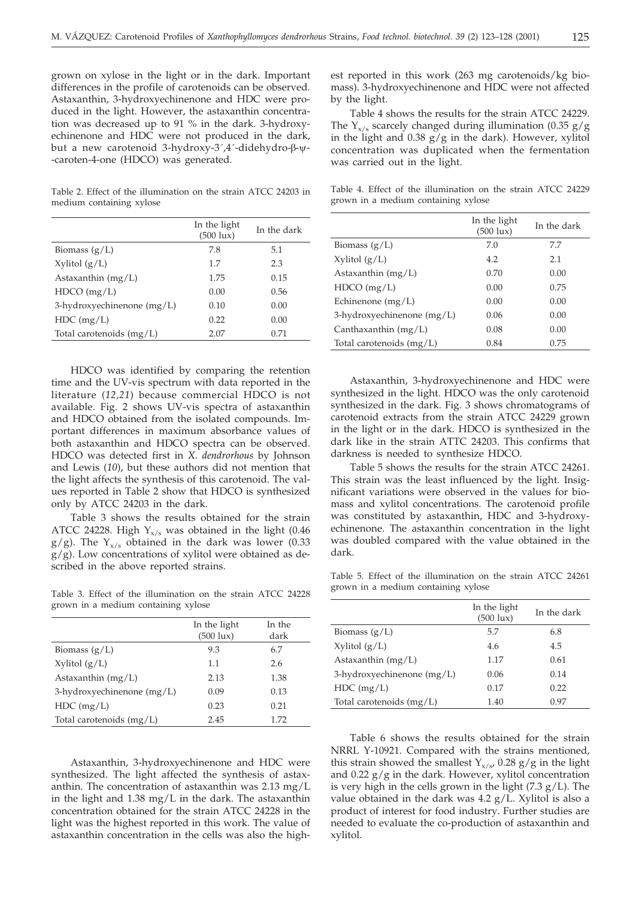grown on xylose in the light or in the dark. Important differences in the profile of carotenoids can be observed. Astaxanthin, 3-hydroxyechinenone and HDC were produced in the light. However, the astaxanthin concentration was decreased up to 91 % in the dark. 3-hydroxyechinenone and HDC were not produced in the dark, but a new carotenoid 3-hydroxy-3´,4´-didehydro-β-ψ--caroten-4-one (HDCO) was generated.

Table 2. Effect of the illumination on the strain ATCC 24203 in medium containing xylose

|                              | In the light<br>$(500 \text{lux})$ | In the dark |
|------------------------------|------------------------------------|-------------|
| Biomass $(g/L)$              | 7.8                                | 5.1         |
| $X$ ylitol $(g/L)$           | 1.7                                | 2.3         |
| Astaxanthin $(mg/L)$         | 1.75                               | 0.15        |
| HDCO (mg/L)                  | 0.00                               | 0.56        |
| 3-hydroxyechinenone $(mg/L)$ | 0.10                               | 0.00        |
| $HDC$ (mg/L)                 | 0.22                               | 0.00        |
| Total carotenoids $(mg/L)$   | 2.07                               | 0.71        |

HDCO was identified by comparing the retention time and the UV-vis spectrum with data reported in the literature (*12,21*) because commercial HDCO is not available. Fig. 2 shows UV-vis spectra of astaxanthin and HDCO obtained from the isolated compounds. Important differences in maximum absorbance values of both astaxanthin and HDCO spectra can be observed. HDCO was detected first in *X. dendrorhous* by Johnson and Lewis (*10*), but these authors did not mention that the light affects the synthesis of this carotenoid. The values reported in Table 2 show that HDCO is synthesized only by ATCC 24203 in the dark.

Table 3 shows the results obtained for the strain ATCC 24228. High  $Y_{x/s}$  was obtained in the light (0.46  $g/g$ ). The Y<sub>x/s</sub> obtained in the dark was lower (0.33  $g/g$ ). Low concentrations of xylitol were obtained as described in the above reported strains.

Table 3. Effect of the illumination on the strain ATCC 24228 grown in a medium containing xylose

|                              | In the light<br>$(500 \text{lux})$ | In the<br>dark |
|------------------------------|------------------------------------|----------------|
| Biomass $(g/L)$              | 9.3                                | 6.7            |
| $Xv$ litol $(g/L)$           | 1.1                                | 2.6            |
| Astaxanthin $(mg/L)$         | 2.13                               | 1.38           |
| 3-hydroxyechinenone $(mg/L)$ | 0.09                               | 0.13           |
| $HDC$ (mg/L)                 | 0.23                               | 0.21           |
| Total carotenoids $(mg/L)$   | 2.45                               | 1.72           |

Astaxanthin, 3-hydroxyechinenone and HDC were synthesized. The light affected the synthesis of astaxanthin. The concentration of astaxanthin was 2.13 mg/L in the light and 1.38 mg/L in the dark. The astaxanthin concentration obtained for the strain ATCC 24228 in the light was the highest reported in this work. The value of astaxanthin concentration in the cells was also the highest reported in this work (263 mg carotenoids/kg biomass). 3-hydroxyechinenone and HDC were not affected by the light.

Table 4 shows the results for the strain ATCC 24229. The  $Y_{x/s}$  scarcely changed during illumination (0.35 g/g in the light and  $0.38$  g/g in the dark). However, xylitol concentration was duplicated when the fermentation was carried out in the light.

Table 4. Effect of the illumination on the strain ATCC 24229 grown in a medium containing xylose

|                              | In the light<br>(500 lux) | In the dark |
|------------------------------|---------------------------|-------------|
| Biomass $(g/L)$              | 7.0                       | 7.7         |
| $Xv$ litol $(g/L)$           | 4.2                       | 2.1         |
| Astaxanthin $(mg/L)$         | 0.70                      | 0.00        |
| $HDCO$ (mg/L)                | 0.00                      | 0.75        |
| Echinenone (mg/L)            | 0.00                      | 0.00        |
| 3-hydroxyechinenone $(mg/L)$ | 0.06                      | 0.00        |
| Canthaxanthin $(mg/L)$       | 0.08                      | 0.00        |
| Total carotenoids $(mg/L)$   | 0.84                      | 0.75        |

Astaxanthin, 3-hydroxyechinenone and HDC were synthesized in the light. HDCO was the only carotenoid synthesized in the dark. Fig. 3 shows chromatograms of carotenoid extracts from the strain ATCC 24229 grown in the light or in the dark. HDCO is synthesized in the dark like in the strain ATTC 24203. This confirms that darkness is needed to synthesize HDCO.

Table 5 shows the results for the strain ATCC 24261. This strain was the least influenced by the light. Insignificant variations were observed in the values for biomass and xylitol concentrations. The carotenoid profile was constituted by astaxanthin, HDC and 3-hydroxyechinenone. The astaxanthin concentration in the light was doubled compared with the value obtained in the dark.

Table 5. Effect of the illumination on the strain ATCC 24261 grown in a medium containing xylose

|                              | In the light<br>$(500 \text{lux})$ | In the dark |
|------------------------------|------------------------------------|-------------|
| Biomass $(g/L)$              | 5.7                                | 6.8         |
| $Xv$ litol $(g/L)$           | 4.6                                | 4.5         |
| Astaxanthin $(mg/L)$         | 1.17                               | 0.61        |
| 3-hydroxyechinenone $(mg/L)$ | 0.06                               | 0.14        |
| $HDC$ (mg/L)                 | 0.17                               | 0.22        |
| Total carotenoids $(mg/L)$   | 1.40                               | 0.97        |

Table 6 shows the results obtained for the strain NRRL Y-10921. Compared with the strains mentioned, this strain showed the smallest  $Y_{x/s}$ , 0.28 g/g in the light and  $0.22$  g/g in the dark. However, xylitol concentration is very high in the cells grown in the light (7.3 g/L). The value obtained in the dark was  $4.2 g/L$ . Xylitol is also a product of interest for food industry. Further studies are needed to evaluate the co-production of astaxanthin and xylitol.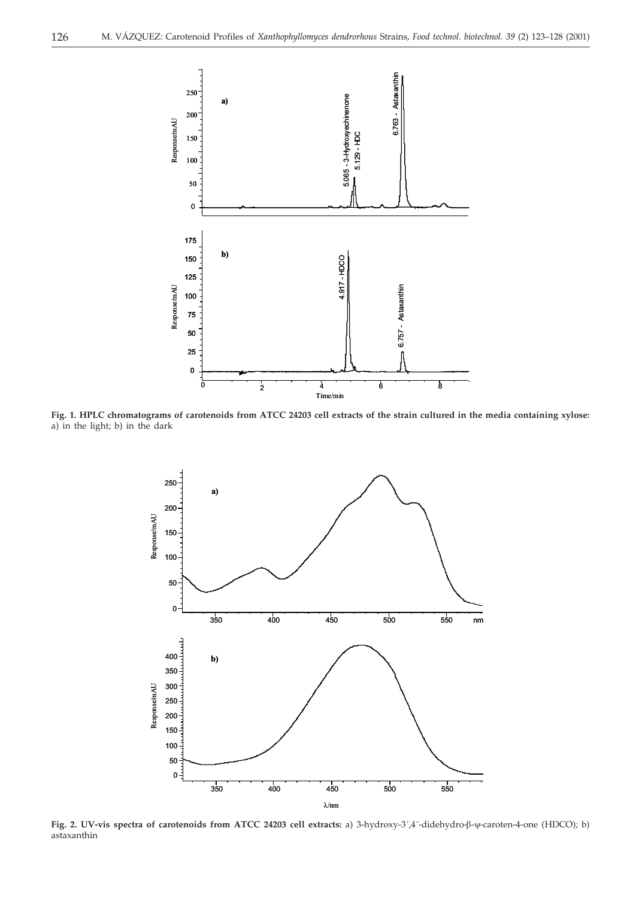

**Fig. 1. HPLC chromatograms of carotenoids from ATCC 24203 cell extracts of the strain cultured in the media containing xylose:** a) in the light; b) in the dark



**Fig. 2. UV-vis spectra of carotenoids from ATCC 24203 cell extracts:** a) 3-hydroxy-3´,4´-didehydro-β-ψ-caroten-4-one (HDCO); b) astaxanthin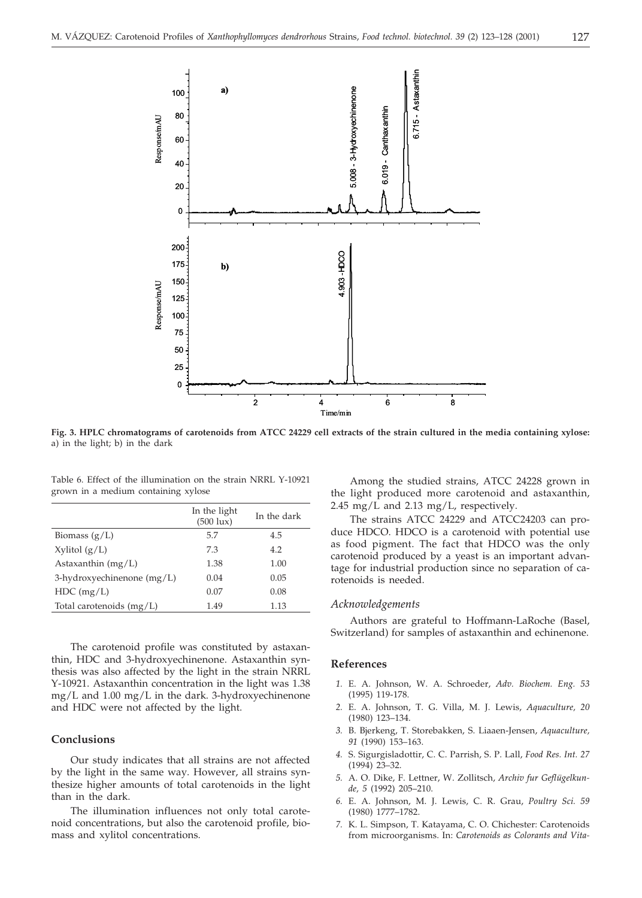

**Fig. 3. HPLC chromatograms of carotenoids from ATCC 24229 cell extracts of the strain cultured in the media containing xylose:** a) in the light; b) in the dark

Table 6. Effect of the illumination on the strain NRRL Y-10921 grown in a medium containing xylose

|                              | In the light<br>$(500 \text{lux})$ | In the dark |
|------------------------------|------------------------------------|-------------|
| Biomass $(g/L)$              | 5.7                                | 4.5         |
| $X$ ylitol $(g/L)$           | 7.3                                | 4.2         |
| Astaxanthin $(mg/L)$         | 1.38                               | 1.00        |
| 3-hydroxyechinenone $(mg/L)$ | 0.04                               | 0.05        |
| $HDC$ (mg/L)                 | 0.07                               | 0.08        |
| Total carotenoids (mg/L)     | 1.49                               | 1.13        |

The carotenoid profile was constituted by astaxanthin, HDC and 3-hydroxyechinenone. Astaxanthin synthesis was also affected by the light in the strain NRRL Y-10921. Astaxanthin concentration in the light was 1.38 mg/L and 1.00 mg/L in the dark. 3-hydroxyechinenone and HDC were not affected by the light.

# **Conclusions**

Our study indicates that all strains are not affected by the light in the same way. However, all strains synthesize higher amounts of total carotenoids in the light than in the dark.

The illumination influences not only total carotenoid concentrations, but also the carotenoid profile, biomass and xylitol concentrations.

Among the studied strains, ATCC 24228 grown in the light produced more carotenoid and astaxanthin, 2.45 mg/L and 2.13 mg/L, respectively.

The strains ATCC 24229 and ATCC24203 can produce HDCO. HDCO is a carotenoid with potential use as food pigment. The fact that HDCO was the only carotenoid produced by a yeast is an important advantage for industrial production since no separation of carotenoids is needed.

### *Acknowledgements*

Authors are grateful to Hoffmann-LaRoche (Basel, Switzerland) for samples of astaxanthin and echinenone.

#### **References**

- *1.* E. A. Johnson, W. A. Schroeder, *Adv. Biochem. Eng. 53* (1995) 119-178.
- *2.* E. A. Johnson, T. G. Villa, M. J. Lewis, *Aquaculture, 20* (1980) 123–134.
- *3.* B. Bjerkeng, T. Storebakken, S. Liaaen-Jensen, *Aquaculture, 91* (1990) 153–163.
- *4.* S. Sigurgisladottir, C. C. Parrish, S. P. Lall, *Food Res. Int. 27* (1994) 23–32.
- *5.* A. O. Dike, F. Lettner, W. Zollitsch, *Archiv fur Geflügelkunde, 5* (1992) 205–210.
- *6.* E. A. Johnson, M. J. Lewis, C. R. Grau, *Poultry Sci. 59* (1980) 1777–1782.
- *7.* K. L. Simpson, T. Katayama, C. O. Chichester: Carotenoids from microorganisms. In: *Carotenoids as Colorants and Vita-*